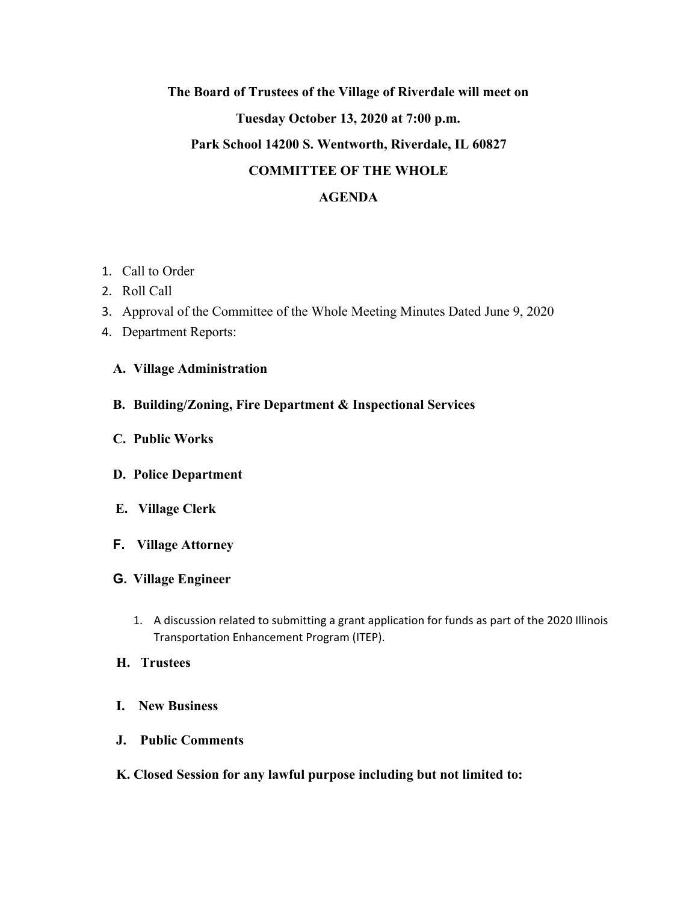## **The Board of Trustees of the Village of Riverdale will meet on Tuesday October 13, 2020 at 7:00 p.m. Park School 14200 S. Wentworth, Riverdale, IL 60827 COMMITTEE OF THE WHOLE**

## **AGENDA**

- 1. Call to Order
- 2. Roll Call
- 3. Approval of the Committee of the Whole Meeting Minutes Dated June 9, 2020
- 4. Department Reports:
	- **A. Village Administration**
	- **B. Building/Zoning, Fire Department & Inspectional Services**
	- **C. Public Works**
	- **D. Police Department**
	- **E. Village Clerk**
	- **F. Village Attorney**
	- **G. Village Engineer**
		- 1. A discussion related to submitting a grant application for funds as part of the 2020 Illinois Transportation Enhancement Program (ITEP).
	- **H. Trustees**
	- **I. New Business**
	- **J. Public Comments**
	- **K. Closed Session for any lawful purpose including but not limited to:**